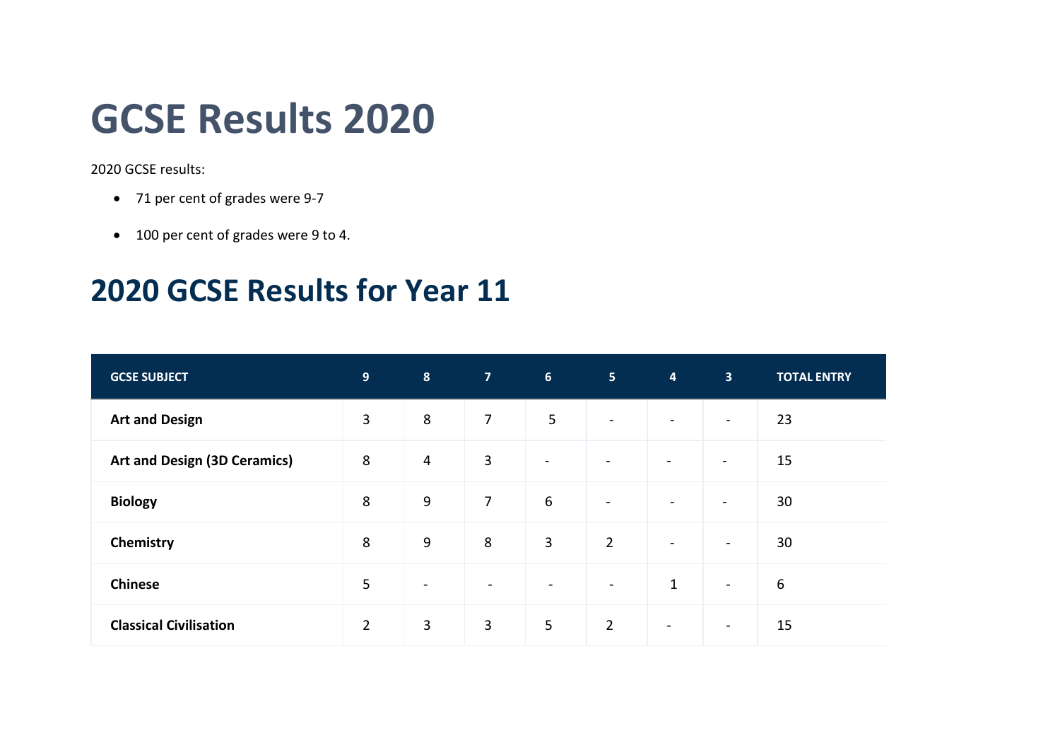## **GCSE Results 2020**

2020 GCSE results:

- 71 per cent of grades were 9-7
- 100 per cent of grades were 9 to 4.

## **2020 GCSE Results for Year 11**

| <b>GCSE SUBJECT</b>                 | 9              | $\boldsymbol{8}$         | 7 <sup>7</sup> | 6 <sup>1</sup>           | 5 <sub>1</sub>           | $\overline{4}$           | 3 <sup>1</sup>           | <b>TOTAL ENTRY</b> |
|-------------------------------------|----------------|--------------------------|----------------|--------------------------|--------------------------|--------------------------|--------------------------|--------------------|
| <b>Art and Design</b>               | 3              | $\,8\,$                  | $\overline{7}$ | 5                        | $\overline{\phantom{a}}$ | $\overline{\phantom{a}}$ | $\blacksquare$           | 23                 |
| <b>Art and Design (3D Ceramics)</b> | 8              | $\overline{4}$           | $\mathbf{3}$   | $\overline{\phantom{a}}$ | $\blacksquare$           |                          | $\qquad \qquad$          | 15                 |
| <b>Biology</b>                      | 8              | 9                        | $\overline{7}$ | 6                        | $\blacksquare$           | $\overline{\phantom{a}}$ | $\blacksquare$           | 30                 |
| Chemistry                           | 8              | $9$                      | $\,8\,$        | $\mathbf{3}$             | $\overline{2}$           | $\overline{\phantom{a}}$ | $\overline{\phantom{a}}$ | 30                 |
| <b>Chinese</b>                      | 5              | $\overline{\phantom{a}}$ | $\blacksquare$ | $\overline{\phantom{a}}$ | $\overline{\phantom{a}}$ | $\mathbf{1}$             | $\blacksquare$           | $\boldsymbol{6}$   |
| <b>Classical Civilisation</b>       | $\overline{2}$ | $\overline{3}$           | $\mathbf{3}$   | 5                        | $\overline{2}$           | $\overline{\phantom{a}}$ | $\overline{\phantom{a}}$ | 15                 |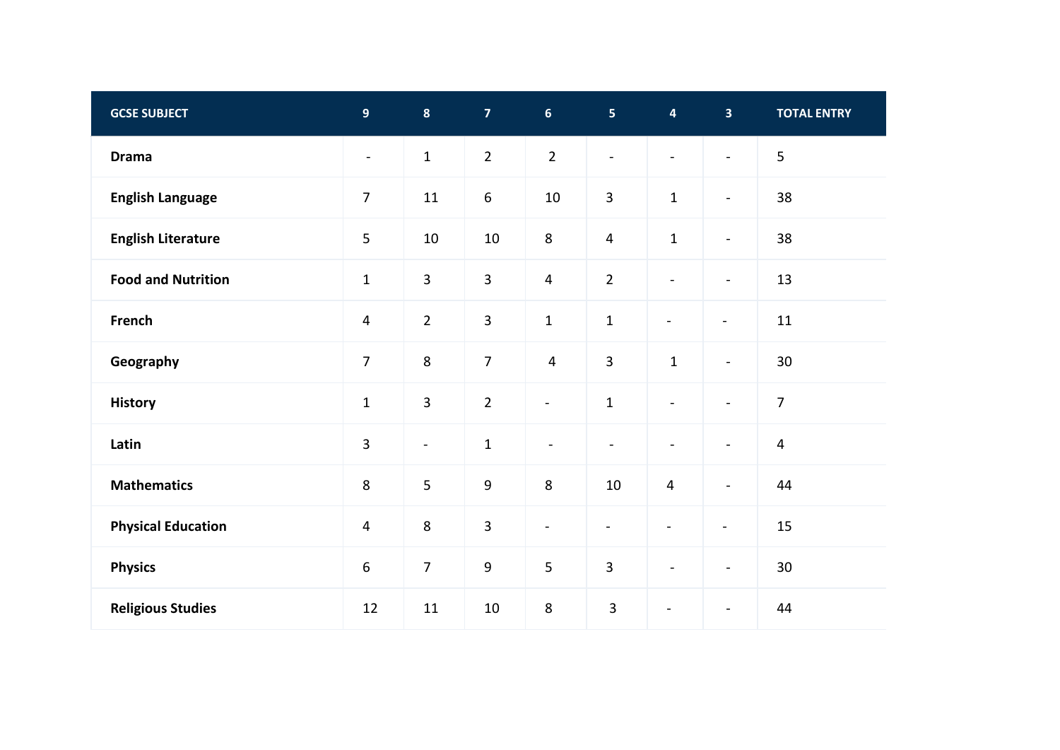| <b>GCSE SUBJECT</b>       | $\overline{9}$   | $\boldsymbol{8}$ | $\overline{7}$   | 6 <sup>1</sup> | 5 <sup>1</sup>           | $\overline{\mathbf{4}}$  | $\overline{\mathbf{3}}$  | <b>TOTAL ENTRY</b>      |
|---------------------------|------------------|------------------|------------------|----------------|--------------------------|--------------------------|--------------------------|-------------------------|
| <b>Drama</b>              | $\blacksquare$   | $\mathbf{1}$     | $\overline{2}$   | $\overline{2}$ | $\overline{\phantom{a}}$ | $\sim$                   | $\blacksquare$           | 5                       |
| <b>English Language</b>   | $\overline{7}$   | 11               | $\boldsymbol{6}$ | 10             | $\overline{3}$           | $\mathbf 1$              | $\blacksquare$           | 38                      |
| <b>English Literature</b> | 5                | $10\,$           | $10\,$           | $\,8\,$        | $\overline{4}$           | $\mathbf 1$              | $\blacksquare$           | 38                      |
| <b>Food and Nutrition</b> | $\mathbf{1}$     | $\overline{3}$   | $\overline{3}$   | $\overline{4}$ | $\overline{2}$           | $\blacksquare$           | $\overline{\phantom{a}}$ | 13                      |
| French                    | $\overline{4}$   | $\overline{2}$   | 3                | $\mathbf 1$    | $\mathbf 1$              | $\overline{\phantom{0}}$ | $\overline{\phantom{a}}$ | 11                      |
| Geography                 | $\overline{7}$   | $\,8\,$          | $\overline{7}$   | $\overline{4}$ | $\overline{3}$           | $\mathbf 1$              | $\blacksquare$           | 30                      |
| <b>History</b>            | $\mathbf{1}$     | $\overline{3}$   | $\overline{2}$   | $\blacksquare$ | $\mathbf 1$              | $\blacksquare$           | $\blacksquare$           | $\overline{7}$          |
| Latin                     | 3                | $\blacksquare$   | $\mathbf 1$      | $\blacksquare$ | $\blacksquare$           | $\overline{\phantom{a}}$ | $\overline{\phantom{a}}$ | $\overline{\mathbf{4}}$ |
| <b>Mathematics</b>        | 8                | 5                | $\boldsymbol{9}$ | 8              | 10                       | $\overline{4}$           | $\blacksquare$           | 44                      |
| <b>Physical Education</b> | $\overline{4}$   | $\,8\,$          | $\overline{3}$   | $\blacksquare$ | $\blacksquare$           | $\qquad \qquad -$        | $\blacksquare$           | 15                      |
| <b>Physics</b>            | $\boldsymbol{6}$ | $\overline{7}$   | $\boldsymbol{9}$ | 5              | $\overline{3}$           | $\overline{\phantom{a}}$ | $\blacksquare$           | 30                      |
| <b>Religious Studies</b>  | 12               | $11\,$           | $10\,$           | 8              | $\overline{3}$           |                          | $\overline{\phantom{a}}$ | 44                      |